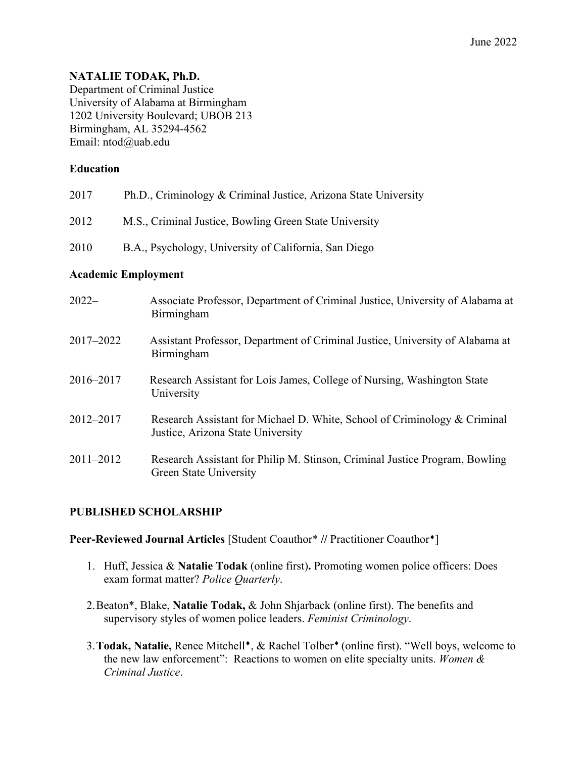# **NATALIE TODAK, Ph.D.**

Department of Criminal Justice University of Alabama at Birmingham 1202 University Boulevard; UBOB 213 Birmingham, AL 35294-4562 Email: ntod@uab.edu

## **Education**

| 2017 | Ph.D., Criminology & Criminal Justice, Arizona State University |
|------|-----------------------------------------------------------------|
| 2012 | M.S., Criminal Justice, Bowling Green State University          |
| 2010 | B.A., Psychology, University of California, San Diego           |

# **Academic Employment**

| $2022-$   | Associate Professor, Department of Criminal Justice, University of Alabama at<br>Birmingham                    |
|-----------|----------------------------------------------------------------------------------------------------------------|
| 2017-2022 | Assistant Professor, Department of Criminal Justice, University of Alabama at<br>Birmingham                    |
| 2016-2017 | Research Assistant for Lois James, College of Nursing, Washington State<br>University                          |
| 2012-2017 | Research Assistant for Michael D. White, School of Criminology & Criminal<br>Justice, Arizona State University |
| 2011-2012 | Research Assistant for Philip M. Stinson, Criminal Justice Program, Bowling<br><b>Green State University</b>   |

# **PUBLISHED SCHOLARSHIP**

#### **Peer-Reviewed Journal Articles** [Student Coauthor\* // Practitioner Coauthor<sup>\*</sup>]

- 1. Huff, Jessica & **Natalie Todak** (online first)**.** Promoting women police officers: Does exam format matter? *Police Quarterly*.
- 2.Beaton\*, Blake, **Natalie Todak,** & John Shjarback (online first). The benefits and supervisory styles of women police leaders. *Feminist Criminology*.
- 3. Todak, Natalie, Renee Mitchell<sup>\*</sup>, & Rachel Tolber<sup>\*</sup> (online first). "Well boys, welcome to the new law enforcement": Reactions to women on elite specialty units. *Women & Criminal Justice*.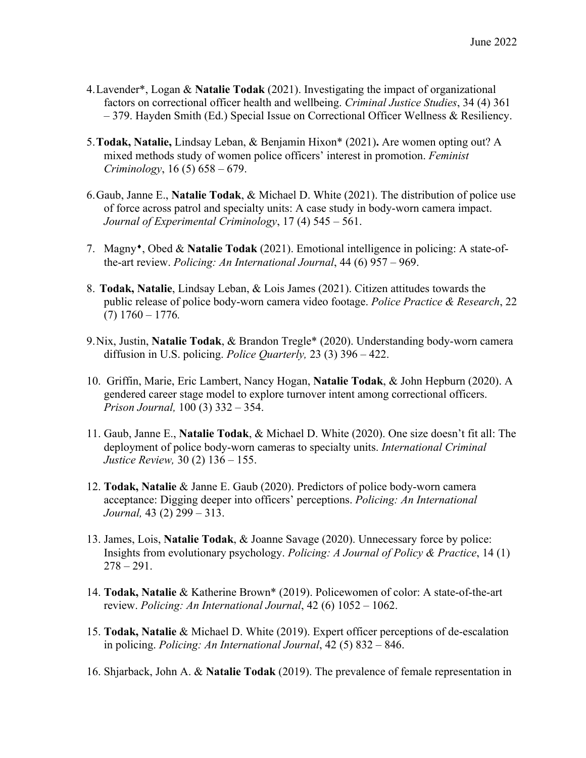- 4.Lavender\*, Logan & **Natalie Todak** (2021). Investigating the impact of organizational factors on correctional officer health and wellbeing. *Criminal Justice Studies*, 34 (4) 361 – 379. Hayden Smith (Ed.) Special Issue on Correctional Officer Wellness & Resiliency.
- 5.**Todak, Natalie,** Lindsay Leban, & Benjamin Hixon\* (2021)**.** Are women opting out? A mixed methods study of women police officers' interest in promotion. *Feminist Criminology*, 16 (5) 658 – 679.
- 6.Gaub, Janne E., **Natalie Todak**, & Michael D. White (2021). The distribution of police use of force across patrol and specialty units: A case study in body-worn camera impact. *Journal of Experimental Criminology*, 17 (4) 545 – 561.
- 7. Magny<sup>\*</sup>, Obed & **Natalie Todak** (2021). Emotional intelligence in policing: A state-ofthe-art review. *Policing: An International Journal*, 44 (6) 957 – 969.
- 8. **Todak, Natalie**, Lindsay Leban, & Lois James (2021). Citizen attitudes towards the public release of police body-worn camera video footage. *Police Practice & Research*, 22 (7) 1760 – 1776*.*
- 9.Nix, Justin, **Natalie Todak**, & Brandon Tregle\* (2020). Understanding body-worn camera diffusion in U.S. policing. *Police Quarterly,* 23 (3) 396 – 422.
- 10. Griffin, Marie, Eric Lambert, Nancy Hogan, **Natalie Todak**, & John Hepburn (2020). A gendered career stage model to explore turnover intent among correctional officers. *Prison Journal,* 100 (3) 332 – 354.
- 11. Gaub, Janne E., **Natalie Todak**, & Michael D. White (2020). One size doesn't fit all: The deployment of police body-worn cameras to specialty units. *International Criminal Justice Review,* 30 (2) 136 – 155.
- 12. **Todak, Natalie** & Janne E. Gaub (2020). Predictors of police body-worn camera acceptance: Digging deeper into officers' perceptions. *Policing: An International Journal,* 43 (2) 299 – 313.
- 13. James, Lois, **Natalie Todak**, & Joanne Savage (2020). Unnecessary force by police: Insights from evolutionary psychology. *Policing: A Journal of Policy & Practice*, 14 (1)  $278 - 291.$
- 14. **Todak, Natalie** & Katherine Brown\* (2019). Policewomen of color: A state-of-the-art review. *Policing: An International Journal*, 42 (6) 1052 – 1062.
- 15. **Todak, Natalie** & Michael D. White (2019). Expert officer perceptions of de-escalation in policing. *Policing: An International Journal*, 42 (5) 832 – 846.
- 16. Shjarback, John A. & **Natalie Todak** (2019). The prevalence of female representation in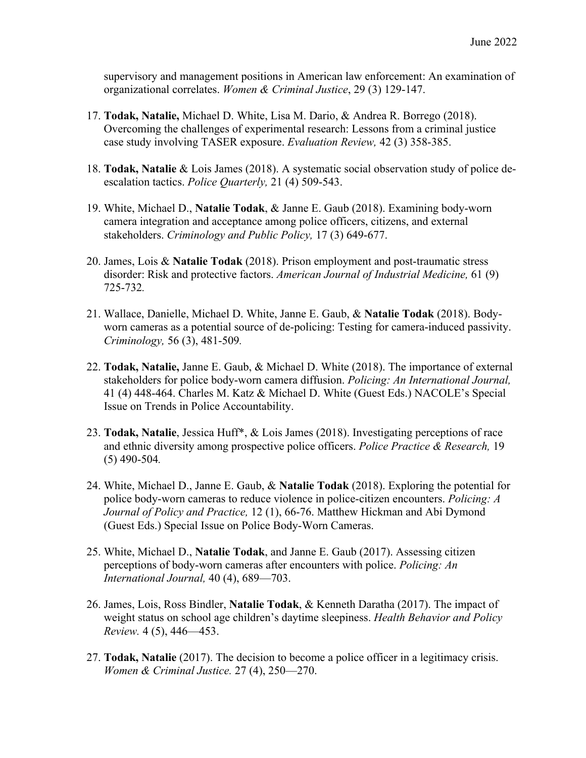supervisory and management positions in American law enforcement: An examination of organizational correlates. *Women & Criminal Justice*, 29 (3) 129-147.

- 17. **Todak, Natalie,** Michael D. White, Lisa M. Dario, & Andrea R. Borrego (2018). Overcoming the challenges of experimental research: Lessons from a criminal justice case study involving TASER exposure. *Evaluation Review,* 42 (3) 358-385.
- 18. **Todak, Natalie** & Lois James (2018). A systematic social observation study of police deescalation tactics. *Police Quarterly,* 21 (4) 509-543.
- 19. White, Michael D., **Natalie Todak**, & Janne E. Gaub (2018). Examining body-worn camera integration and acceptance among police officers, citizens, and external stakeholders. *Criminology and Public Policy,* 17 (3) 649-677.
- 20. James, Lois & **Natalie Todak** (2018). Prison employment and post-traumatic stress disorder: Risk and protective factors. *American Journal of Industrial Medicine,* 61 (9) 725-732*.*
- 21. Wallace, Danielle, Michael D. White, Janne E. Gaub, & **Natalie Todak** (2018). Bodyworn cameras as a potential source of de-policing: Testing for camera-induced passivity. *Criminology,* 56 (3), 481-509*.*
- 22. **Todak, Natalie,** Janne E. Gaub, & Michael D. White (2018). The importance of external stakeholders for police body-worn camera diffusion. *Policing: An International Journal,* 41 (4) 448-464. Charles M. Katz & Michael D. White (Guest Eds.) NACOLE's Special Issue on Trends in Police Accountability.
- 23. **Todak, Natalie**, Jessica Huff\*, & Lois James (2018). Investigating perceptions of race and ethnic diversity among prospective police officers. *Police Practice & Research,* 19 (5) 490-504*.*
- 24. White, Michael D., Janne E. Gaub, & **Natalie Todak** (2018). Exploring the potential for police body-worn cameras to reduce violence in police-citizen encounters. *Policing: A Journal of Policy and Practice,* 12 (1), 66-76. Matthew Hickman and Abi Dymond (Guest Eds.) Special Issue on Police Body-Worn Cameras.
- 25. White, Michael D., **Natalie Todak**, and Janne E. Gaub (2017). Assessing citizen perceptions of body-worn cameras after encounters with police. *Policing: An International Journal,* 40 (4), 689—703.
- 26. James, Lois, Ross Bindler, **Natalie Todak**, & Kenneth Daratha (2017). The impact of weight status on school age children's daytime sleepiness. *Health Behavior and Policy Review.* 4 (5), 446—453.
- 27. **Todak, Natalie** (2017). The decision to become a police officer in a legitimacy crisis. *Women & Criminal Justice.* 27 (4), 250—270.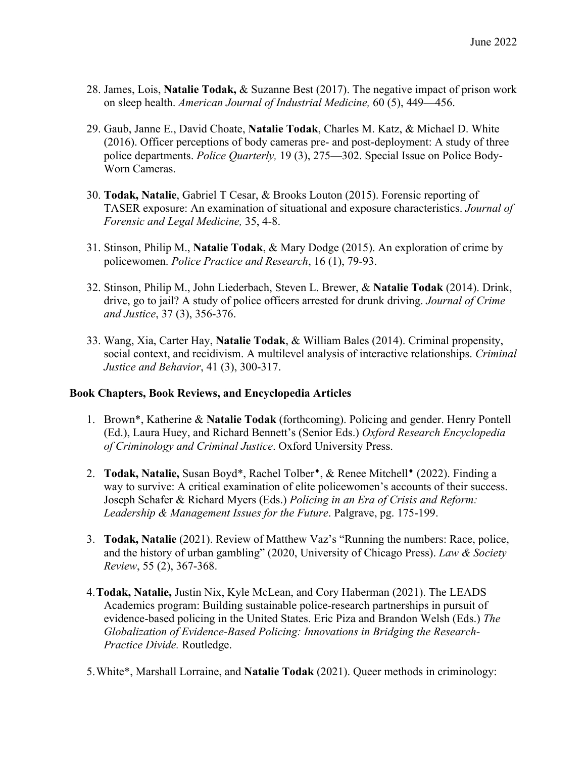- 28. James, Lois, **Natalie Todak,** & Suzanne Best (2017). The negative impact of prison work on sleep health. *American Journal of Industrial Medicine,* 60 (5), 449—456.
- 29. Gaub, Janne E., David Choate, **Natalie Todak**, Charles M. Katz, & Michael D. White (2016). Officer perceptions of body cameras pre- and post-deployment: A study of three police departments. *Police Quarterly,* 19 (3), 275—302. Special Issue on Police Body-Worn Cameras.
- 30. **Todak, Natalie**, Gabriel T Cesar, & Brooks Louton (2015). Forensic reporting of TASER exposure: An examination of situational and exposure characteristics. *Journal of Forensic and Legal Medicine,* 35, 4-8.
- 31. Stinson, Philip M., **Natalie Todak**, & Mary Dodge (2015). An exploration of crime by policewomen. *Police Practice and Research*, 16 (1), 79-93.
- 32. Stinson, Philip M., John Liederbach, Steven L. Brewer, & **Natalie Todak** (2014). Drink, drive, go to jail? A study of police officers arrested for drunk driving. *Journal of Crime and Justice*, 37 (3), 356-376.
- 33. Wang, Xia, Carter Hay, **Natalie Todak**, & William Bales (2014). Criminal propensity, social context, and recidivism. A multilevel analysis of interactive relationships. *Criminal Justice and Behavior*, 41 (3), 300-317.

#### **Book Chapters, Book Reviews, and Encyclopedia Articles**

- 1. Brown\*, Katherine & **Natalie Todak** (forthcoming). Policing and gender. Henry Pontell (Ed.), Laura Huey, and Richard Bennett's (Senior Eds.) *Oxford Research Encyclopedia of Criminology and Criminal Justice*. Oxford University Press.
- 2. **Todak, Natalie, Susan Boyd\***, Rachel Tolber<sup>\*</sup>, & Renee Mitchell<sup>\*</sup> (2022). Finding a way to survive: A critical examination of elite policewomen's accounts of their success. Joseph Schafer & Richard Myers (Eds.) *Policing in an Era of Crisis and Reform: Leadership & Management Issues for the Future*. Palgrave, pg. 175-199.
- 3. **Todak, Natalie** (2021). Review of Matthew Vaz's "Running the numbers: Race, police, and the history of urban gambling" (2020, University of Chicago Press). *Law & Society Review*, 55 (2), 367-368.
- 4.**Todak, Natalie,** Justin Nix, Kyle McLean, and Cory Haberman (2021). The LEADS Academics program: Building sustainable police-research partnerships in pursuit of evidence-based policing in the United States. Eric Piza and Brandon Welsh (Eds.) *The Globalization of Evidence-Based Policing: Innovations in Bridging the Research-Practice Divide.* Routledge.
- 5.White\*, Marshall Lorraine, and **Natalie Todak** (2021). Queer methods in criminology: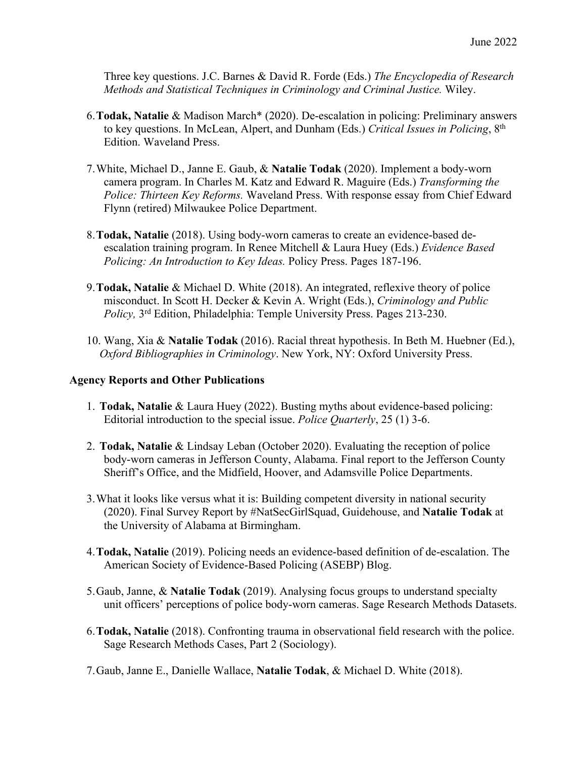Three key questions. J.C. Barnes & David R. Forde (Eds.) *The Encyclopedia of Research Methods and Statistical Techniques in Criminology and Criminal Justice.* Wiley.

- 6.**Todak, Natalie** & Madison March\* (2020). De-escalation in policing: Preliminary answers to key questions. In McLean, Alpert, and Dunham (Eds.) *Critical Issues in Policing*, 8th Edition. Waveland Press.
- 7.White, Michael D., Janne E. Gaub, & **Natalie Todak** (2020). Implement a body-worn camera program. In Charles M. Katz and Edward R. Maguire (Eds.) *Transforming the Police: Thirteen Key Reforms.* Waveland Press. With response essay from Chief Edward Flynn (retired) Milwaukee Police Department.
- 8.**Todak, Natalie** (2018). Using body-worn cameras to create an evidence-based deescalation training program. In Renee Mitchell & Laura Huey (Eds.) *Evidence Based Policing: An Introduction to Key Ideas.* Policy Press. Pages 187-196.
- 9.**Todak, Natalie** & Michael D. White (2018). An integrated, reflexive theory of police misconduct. In Scott H. Decker & Kevin A. Wright (Eds.), *Criminology and Public Policy,* 3rd Edition, Philadelphia: Temple University Press. Pages 213-230.
- 10. Wang, Xia & **Natalie Todak** (2016). Racial threat hypothesis. In Beth M. Huebner (Ed.), *Oxford Bibliographies in Criminology*. New York, NY: Oxford University Press.

#### **Agency Reports and Other Publications**

- 1. **Todak, Natalie** & Laura Huey (2022). Busting myths about evidence-based policing: Editorial introduction to the special issue. *Police Quarterly*, 25 (1) 3-6.
- 2. **Todak, Natalie** & Lindsay Leban (October 2020). Evaluating the reception of police body-worn cameras in Jefferson County, Alabama. Final report to the Jefferson County Sheriff's Office, and the Midfield, Hoover, and Adamsville Police Departments.
- 3.What it looks like versus what it is: Building competent diversity in national security (2020). Final Survey Report by #NatSecGirlSquad, Guidehouse, and **Natalie Todak** at the University of Alabama at Birmingham.
- 4.**Todak, Natalie** (2019). Policing needs an evidence-based definition of de-escalation. The American Society of Evidence-Based Policing (ASEBP) Blog.
- 5.Gaub, Janne, & **Natalie Todak** (2019). Analysing focus groups to understand specialty unit officers' perceptions of police body-worn cameras. Sage Research Methods Datasets.
- 6.**Todak, Natalie** (2018). Confronting trauma in observational field research with the police. Sage Research Methods Cases, Part 2 (Sociology).
- 7.Gaub, Janne E., Danielle Wallace, **Natalie Todak**, & Michael D. White (2018).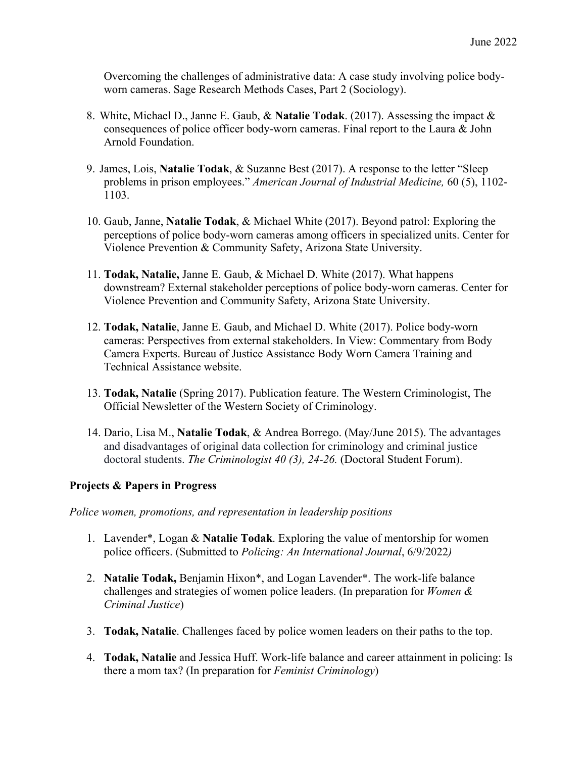Overcoming the challenges of administrative data: A case study involving police bodyworn cameras. Sage Research Methods Cases, Part 2 (Sociology).

- 8. White, Michael D., Janne E. Gaub, & **Natalie Todak**. (2017). Assessing the impact & consequences of police officer body-worn cameras. Final report to the Laura & John Arnold Foundation.
- 9. James, Lois, **Natalie Todak**, & Suzanne Best (2017). A response to the letter "Sleep problems in prison employees." *American Journal of Industrial Medicine,* 60 (5), 1102- 1103.
- 10. Gaub, Janne, **Natalie Todak**, & Michael White (2017). Beyond patrol: Exploring the perceptions of police body-worn cameras among officers in specialized units. Center for Violence Prevention & Community Safety, Arizona State University.
- 11. **Todak, Natalie,** Janne E. Gaub, & Michael D. White (2017). What happens downstream? External stakeholder perceptions of police body-worn cameras. Center for Violence Prevention and Community Safety, Arizona State University.
- 12. **Todak, Natalie**, Janne E. Gaub, and Michael D. White (2017). Police body-worn cameras: Perspectives from external stakeholders. In View: Commentary from Body Camera Experts. Bureau of Justice Assistance Body Worn Camera Training and Technical Assistance website.
- 13. **Todak, Natalie** (Spring 2017). Publication feature. The Western Criminologist, The Official Newsletter of the Western Society of Criminology.
- 14. Dario, Lisa M., **Natalie Todak**, & Andrea Borrego. (May/June 2015). The advantages and disadvantages of original data collection for criminology and criminal justice doctoral students. *The Criminologist 40 (3), 24-26.* (Doctoral Student Forum).

#### **Projects & Papers in Progress**

*Police women, promotions, and representation in leadership positions*

- 1. Lavender\*, Logan & **Natalie Todak**. Exploring the value of mentorship for women police officers. (Submitted to *Policing: An International Journal*, 6/9/2022*)*
- 2. **Natalie Todak,** Benjamin Hixon\*, and Logan Lavender\*. The work-life balance challenges and strategies of women police leaders. (In preparation for *Women & Criminal Justice*)
- 3. **Todak, Natalie**. Challenges faced by police women leaders on their paths to the top.
- 4. **Todak, Natalie** and Jessica Huff. Work-life balance and career attainment in policing: Is there a mom tax? (In preparation for *Feminist Criminology*)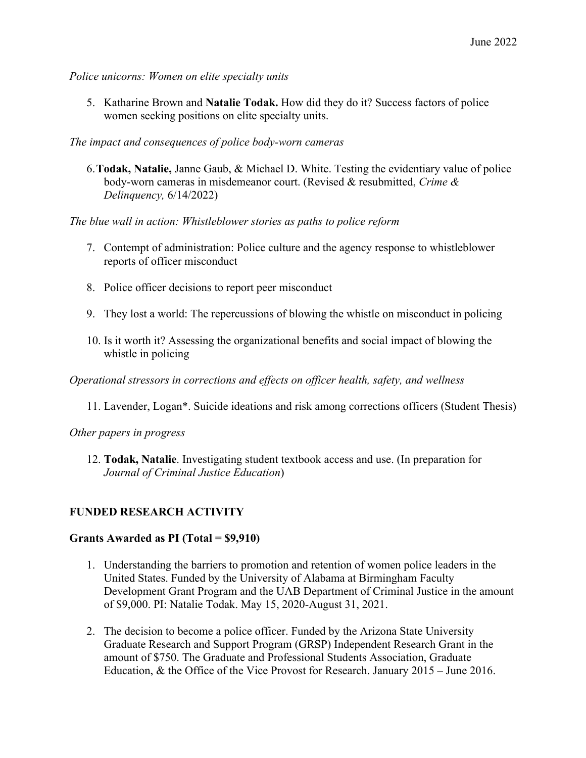*Police unicorns: Women on elite specialty units*

5. Katharine Brown and **Natalie Todak.** How did they do it? Success factors of police women seeking positions on elite specialty units.

*The impact and consequences of police body-worn cameras*

6.**Todak, Natalie,** Janne Gaub, & Michael D. White. Testing the evidentiary value of police body-worn cameras in misdemeanor court. (Revised & resubmitted, *Crime & Delinquency,* 6/14/2022)

*The blue wall in action: Whistleblower stories as paths to police reform*

- 7. Contempt of administration: Police culture and the agency response to whistleblower reports of officer misconduct
- 8. Police officer decisions to report peer misconduct
- 9. They lost a world: The repercussions of blowing the whistle on misconduct in policing
- 10. Is it worth it? Assessing the organizational benefits and social impact of blowing the whistle in policing

*Operational stressors in corrections and effects on officer health, safety, and wellness*

11. Lavender, Logan\*. Suicide ideations and risk among corrections officers (Student Thesis)

*Other papers in progress*

12. **Todak, Natalie**. Investigating student textbook access and use. (In preparation for *Journal of Criminal Justice Education*)

#### **FUNDED RESEARCH ACTIVITY**

#### **Grants Awarded as PI (Total = \$9,910)**

- 1. Understanding the barriers to promotion and retention of women police leaders in the United States. Funded by the University of Alabama at Birmingham Faculty Development Grant Program and the UAB Department of Criminal Justice in the amount of \$9,000. PI: Natalie Todak. May 15, 2020-August 31, 2021.
- 2. The decision to become a police officer. Funded by the Arizona State University Graduate Research and Support Program (GRSP) Independent Research Grant in the amount of \$750. The Graduate and Professional Students Association, Graduate Education, & the Office of the Vice Provost for Research. January 2015 – June 2016.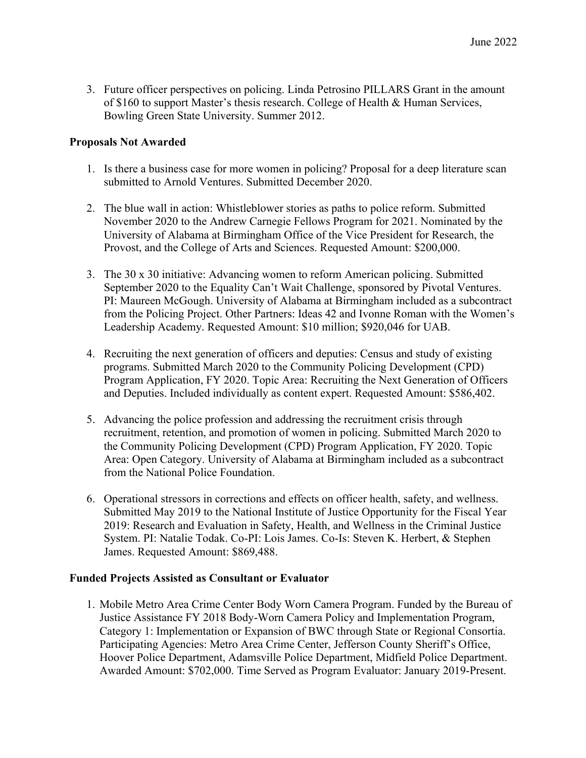3. Future officer perspectives on policing. Linda Petrosino PILLARS Grant in the amount of \$160 to support Master's thesis research. College of Health & Human Services, Bowling Green State University. Summer 2012.

#### **Proposals Not Awarded**

- 1. Is there a business case for more women in policing? Proposal for a deep literature scan submitted to Arnold Ventures. Submitted December 2020.
- 2. The blue wall in action: Whistleblower stories as paths to police reform. Submitted November 2020 to the Andrew Carnegie Fellows Program for 2021. Nominated by the University of Alabama at Birmingham Office of the Vice President for Research, the Provost, and the College of Arts and Sciences. Requested Amount: \$200,000.
- 3. The 30 x 30 initiative: Advancing women to reform American policing. Submitted September 2020 to the Equality Can't Wait Challenge, sponsored by Pivotal Ventures. PI: Maureen McGough. University of Alabama at Birmingham included as a subcontract from the Policing Project. Other Partners: Ideas 42 and Ivonne Roman with the Women's Leadership Academy. Requested Amount: \$10 million; \$920,046 for UAB.
- 4. Recruiting the next generation of officers and deputies: Census and study of existing programs. Submitted March 2020 to the Community Policing Development (CPD) Program Application, FY 2020. Topic Area: Recruiting the Next Generation of Officers and Deputies. Included individually as content expert. Requested Amount: \$586,402.
- 5. Advancing the police profession and addressing the recruitment crisis through recruitment, retention, and promotion of women in policing. Submitted March 2020 to the Community Policing Development (CPD) Program Application, FY 2020. Topic Area: Open Category. University of Alabama at Birmingham included as a subcontract from the National Police Foundation.
- 6. Operational stressors in corrections and effects on officer health, safety, and wellness. Submitted May 2019 to the National Institute of Justice Opportunity for the Fiscal Year 2019: Research and Evaluation in Safety, Health, and Wellness in the Criminal Justice System. PI: Natalie Todak. Co-PI: Lois James. Co-Is: Steven K. Herbert, & Stephen James. Requested Amount: \$869,488.

#### **Funded Projects Assisted as Consultant or Evaluator**

1. Mobile Metro Area Crime Center Body Worn Camera Program. Funded by the Bureau of Justice Assistance FY 2018 Body-Worn Camera Policy and Implementation Program, Category 1: Implementation or Expansion of BWC through State or Regional Consortia. Participating Agencies: Metro Area Crime Center, Jefferson County Sheriff's Office, Hoover Police Department, Adamsville Police Department, Midfield Police Department. Awarded Amount: \$702,000. Time Served as Program Evaluator: January 2019-Present.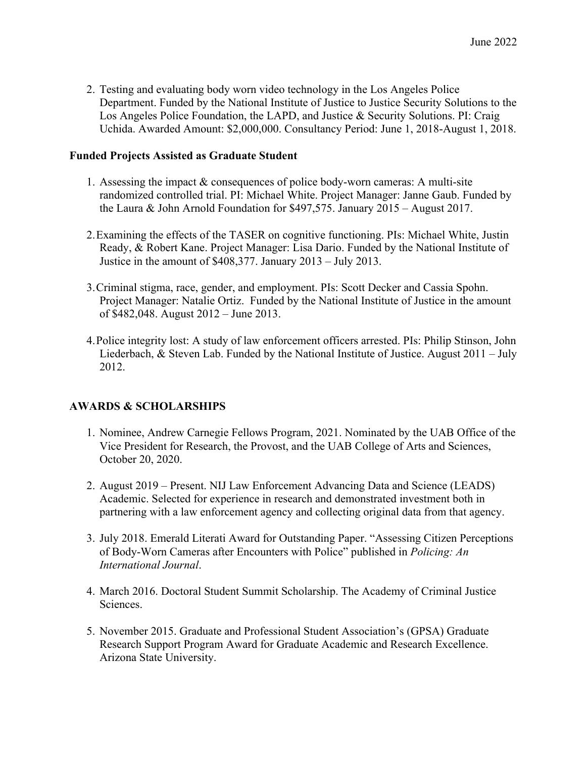2. Testing and evaluating body worn video technology in the Los Angeles Police Department. Funded by the National Institute of Justice to Justice Security Solutions to the Los Angeles Police Foundation, the LAPD, and Justice & Security Solutions. PI: Craig Uchida. Awarded Amount: \$2,000,000. Consultancy Period: June 1, 2018-August 1, 2018.

## **Funded Projects Assisted as Graduate Student**

- 1. Assessing the impact & consequences of police body-worn cameras: A multi-site randomized controlled trial. PI: Michael White. Project Manager: Janne Gaub. Funded by the Laura & John Arnold Foundation for \$497,575. January 2015 – August 2017.
- 2.Examining the effects of the TASER on cognitive functioning. PIs: Michael White, Justin Ready, & Robert Kane. Project Manager: Lisa Dario. Funded by the National Institute of Justice in the amount of \$408,377. January 2013 – July 2013.
- 3.Criminal stigma, race, gender, and employment. PIs: Scott Decker and Cassia Spohn. Project Manager: Natalie Ortiz. Funded by the National Institute of Justice in the amount of \$482,048. August 2012 – June 2013.
- 4.Police integrity lost: A study of law enforcement officers arrested. PIs: Philip Stinson, John Liederbach, & Steven Lab. Funded by the National Institute of Justice. August 2011 – July 2012.

# **AWARDS & SCHOLARSHIPS**

- 1. Nominee, Andrew Carnegie Fellows Program, 2021. Nominated by the UAB Office of the Vice President for Research, the Provost, and the UAB College of Arts and Sciences, October 20, 2020.
- 2. August 2019 Present. NIJ Law Enforcement Advancing Data and Science (LEADS) Academic. Selected for experience in research and demonstrated investment both in partnering with a law enforcement agency and collecting original data from that agency.
- 3. July 2018. Emerald Literati Award for Outstanding Paper. "Assessing Citizen Perceptions of Body-Worn Cameras after Encounters with Police" published in *Policing: An International Journal*.
- 4. March 2016. Doctoral Student Summit Scholarship. The Academy of Criminal Justice Sciences.
- 5. November 2015. Graduate and Professional Student Association's (GPSA) Graduate Research Support Program Award for Graduate Academic and Research Excellence. Arizona State University.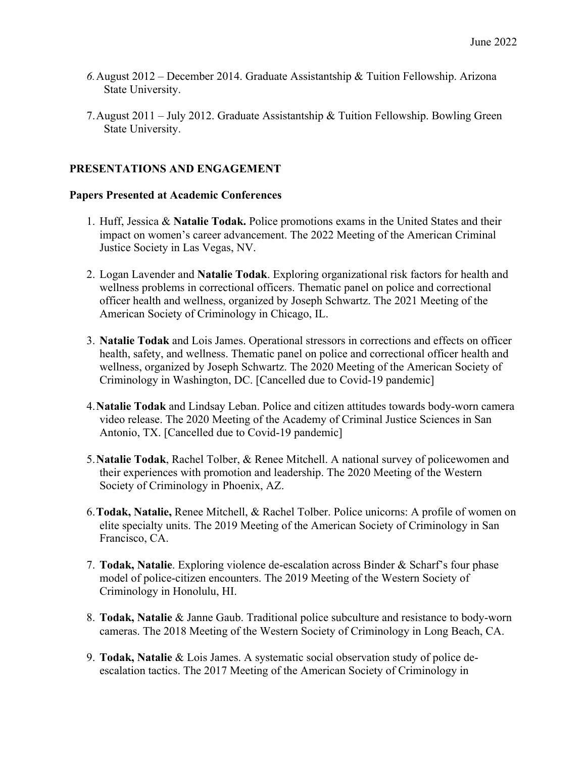- *6.*August 2012 December 2014. Graduate Assistantship & Tuition Fellowship. Arizona State University.
- 7.August 2011 July 2012. Graduate Assistantship & Tuition Fellowship. Bowling Green State University.

# **PRESENTATIONS AND ENGAGEMENT**

#### **Papers Presented at Academic Conferences**

- 1. Huff, Jessica & **Natalie Todak.** Police promotions exams in the United States and their impact on women's career advancement. The 2022 Meeting of the American Criminal Justice Society in Las Vegas, NV.
- 2. Logan Lavender and **Natalie Todak**. Exploring organizational risk factors for health and wellness problems in correctional officers. Thematic panel on police and correctional officer health and wellness, organized by Joseph Schwartz. The 2021 Meeting of the American Society of Criminology in Chicago, IL.
- 3. **Natalie Todak** and Lois James. Operational stressors in corrections and effects on officer health, safety, and wellness. Thematic panel on police and correctional officer health and wellness, organized by Joseph Schwartz. The 2020 Meeting of the American Society of Criminology in Washington, DC. [Cancelled due to Covid-19 pandemic]
- 4.**Natalie Todak** and Lindsay Leban. Police and citizen attitudes towards body-worn camera video release. The 2020 Meeting of the Academy of Criminal Justice Sciences in San Antonio, TX. [Cancelled due to Covid-19 pandemic]
- 5.**Natalie Todak**, Rachel Tolber, & Renee Mitchell. A national survey of policewomen and their experiences with promotion and leadership. The 2020 Meeting of the Western Society of Criminology in Phoenix, AZ.
- 6.**Todak, Natalie,** Renee Mitchell, & Rachel Tolber. Police unicorns: A profile of women on elite specialty units. The 2019 Meeting of the American Society of Criminology in San Francisco, CA.
- 7. **Todak, Natalie**. Exploring violence de-escalation across Binder & Scharf's four phase model of police-citizen encounters. The 2019 Meeting of the Western Society of Criminology in Honolulu, HI.
- 8. **Todak, Natalie** & Janne Gaub. Traditional police subculture and resistance to body-worn cameras. The 2018 Meeting of the Western Society of Criminology in Long Beach, CA.
- 9. **Todak, Natalie** & Lois James. A systematic social observation study of police deescalation tactics. The 2017 Meeting of the American Society of Criminology in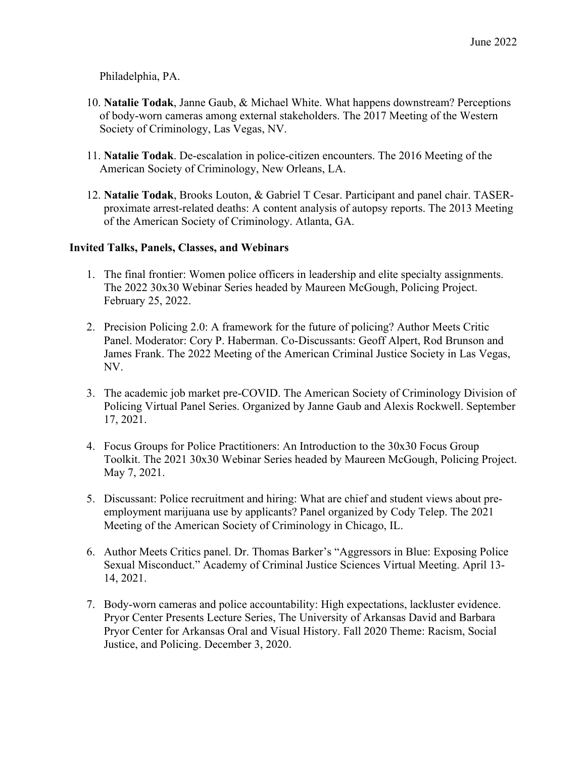Philadelphia, PA.

- 10. **Natalie Todak**, Janne Gaub, & Michael White. What happens downstream? Perceptions of body-worn cameras among external stakeholders. The 2017 Meeting of the Western Society of Criminology, Las Vegas, NV.
- 11. **Natalie Todak**. De-escalation in police-citizen encounters. The 2016 Meeting of the American Society of Criminology, New Orleans, LA.
- 12. **Natalie Todak**, Brooks Louton, & Gabriel T Cesar. Participant and panel chair. TASERproximate arrest-related deaths: A content analysis of autopsy reports. The 2013 Meeting of the American Society of Criminology. Atlanta, GA.

#### **Invited Talks, Panels, Classes, and Webinars**

- 1. The final frontier: Women police officers in leadership and elite specialty assignments. The 2022 30x30 Webinar Series headed by Maureen McGough, Policing Project. February 25, 2022.
- 2. Precision Policing 2.0: A framework for the future of policing? Author Meets Critic Panel. Moderator: Cory P. Haberman. Co-Discussants: Geoff Alpert, Rod Brunson and James Frank. The 2022 Meeting of the American Criminal Justice Society in Las Vegas, NV.
- 3. The academic job market pre-COVID. The American Society of Criminology Division of Policing Virtual Panel Series. Organized by Janne Gaub and Alexis Rockwell. September 17, 2021.
- 4. Focus Groups for Police Practitioners: An Introduction to the 30x30 Focus Group Toolkit. The 2021 30x30 Webinar Series headed by Maureen McGough, Policing Project. May 7, 2021.
- 5. Discussant: Police recruitment and hiring: What are chief and student views about preemployment marijuana use by applicants? Panel organized by Cody Telep. The 2021 Meeting of the American Society of Criminology in Chicago, IL.
- 6. Author Meets Critics panel. Dr. Thomas Barker's "Aggressors in Blue: Exposing Police Sexual Misconduct." Academy of Criminal Justice Sciences Virtual Meeting. April 13- 14, 2021.
- 7. Body-worn cameras and police accountability: High expectations, lackluster evidence. Pryor Center Presents Lecture Series, The University of Arkansas David and Barbara Pryor Center for Arkansas Oral and Visual History. Fall 2020 Theme: Racism, Social Justice, and Policing. December 3, 2020.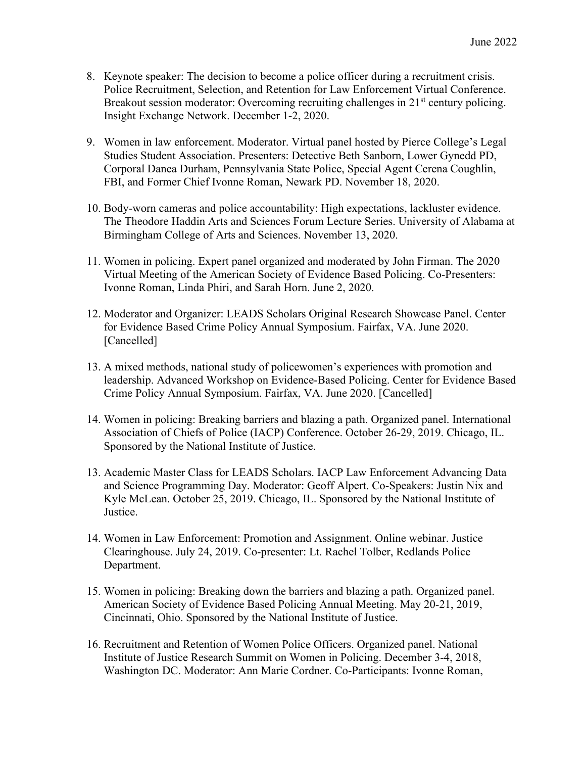- 8. Keynote speaker: The decision to become a police officer during a recruitment crisis. Police Recruitment, Selection, and Retention for Law Enforcement Virtual Conference. Breakout session moderator: Overcoming recruiting challenges in 21<sup>st</sup> century policing. Insight Exchange Network. December 1-2, 2020.
- 9. Women in law enforcement. Moderator. Virtual panel hosted by Pierce College's Legal Studies Student Association. Presenters: Detective Beth Sanborn, Lower Gynedd PD, Corporal Danea Durham, Pennsylvania State Police, Special Agent Cerena Coughlin, FBI, and Former Chief Ivonne Roman, Newark PD. November 18, 2020.
- 10. Body-worn cameras and police accountability: High expectations, lackluster evidence. The Theodore Haddin Arts and Sciences Forum Lecture Series. University of Alabama at Birmingham College of Arts and Sciences. November 13, 2020.
- 11. Women in policing. Expert panel organized and moderated by John Firman. The 2020 Virtual Meeting of the American Society of Evidence Based Policing. Co-Presenters: Ivonne Roman, Linda Phiri, and Sarah Horn. June 2, 2020.
- 12. Moderator and Organizer: LEADS Scholars Original Research Showcase Panel. Center for Evidence Based Crime Policy Annual Symposium. Fairfax, VA. June 2020. [Cancelled]
- 13. A mixed methods, national study of policewomen's experiences with promotion and leadership. Advanced Workshop on Evidence-Based Policing. Center for Evidence Based Crime Policy Annual Symposium. Fairfax, VA. June 2020. [Cancelled]
- 14. Women in policing: Breaking barriers and blazing a path. Organized panel. International Association of Chiefs of Police (IACP) Conference. October 26-29, 2019. Chicago, IL. Sponsored by the National Institute of Justice.
- 13. Academic Master Class for LEADS Scholars. IACP Law Enforcement Advancing Data and Science Programming Day. Moderator: Geoff Alpert. Co-Speakers: Justin Nix and Kyle McLean. October 25, 2019. Chicago, IL. Sponsored by the National Institute of Justice.
- 14. Women in Law Enforcement: Promotion and Assignment. Online webinar. Justice Clearinghouse. July 24, 2019. Co-presenter: Lt. Rachel Tolber, Redlands Police Department.
- 15. Women in policing: Breaking down the barriers and blazing a path. Organized panel. American Society of Evidence Based Policing Annual Meeting. May 20-21, 2019, Cincinnati, Ohio. Sponsored by the National Institute of Justice.
- 16. Recruitment and Retention of Women Police Officers. Organized panel. National Institute of Justice Research Summit on Women in Policing. December 3-4, 2018, Washington DC. Moderator: Ann Marie Cordner. Co-Participants: Ivonne Roman,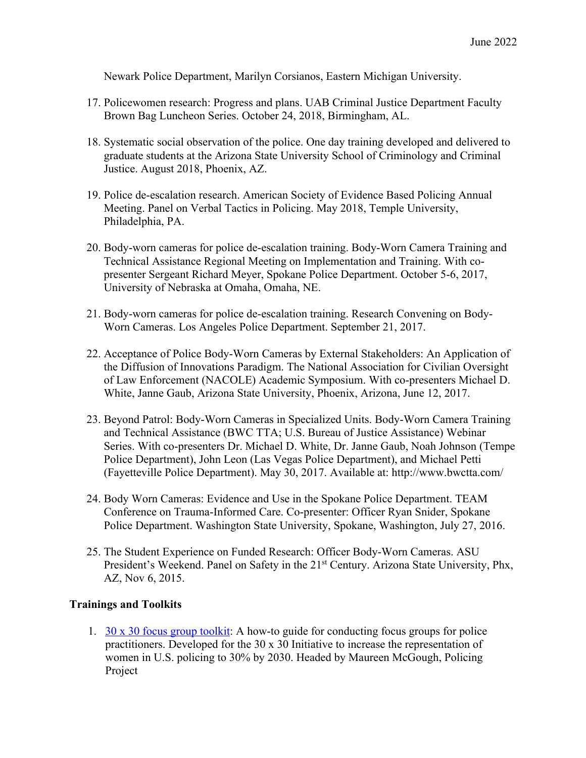Newark Police Department, Marilyn Corsianos, Eastern Michigan University.

- 17. Policewomen research: Progress and plans. UAB Criminal Justice Department Faculty Brown Bag Luncheon Series. October 24, 2018, Birmingham, AL.
- 18. Systematic social observation of the police. One day training developed and delivered to graduate students at the Arizona State University School of Criminology and Criminal Justice. August 2018, Phoenix, AZ.
- 19. Police de-escalation research. American Society of Evidence Based Policing Annual Meeting. Panel on Verbal Tactics in Policing. May 2018, Temple University, Philadelphia, PA.
- 20. Body-worn cameras for police de-escalation training. Body-Worn Camera Training and Technical Assistance Regional Meeting on Implementation and Training. With copresenter Sergeant Richard Meyer, Spokane Police Department. October 5-6, 2017, University of Nebraska at Omaha, Omaha, NE.
- 21. Body-worn cameras for police de-escalation training. Research Convening on Body-Worn Cameras. Los Angeles Police Department. September 21, 2017.
- 22. Acceptance of Police Body-Worn Cameras by External Stakeholders: An Application of the Diffusion of Innovations Paradigm. The National Association for Civilian Oversight of Law Enforcement (NACOLE) Academic Symposium. With co-presenters Michael D. White, Janne Gaub, Arizona State University, Phoenix, Arizona, June 12, 2017.
- 23. Beyond Patrol: Body-Worn Cameras in Specialized Units. Body-Worn Camera Training and Technical Assistance (BWC TTA; U.S. Bureau of Justice Assistance) Webinar Series. With co-presenters Dr. Michael D. White, Dr. Janne Gaub, Noah Johnson (Tempe Police Department), John Leon (Las Vegas Police Department), and Michael Petti (Fayetteville Police Department). May 30, 2017. Available at: http://www.bwctta.com/
- 24. Body Worn Cameras: Evidence and Use in the Spokane Police Department. TEAM Conference on Trauma-Informed Care. Co-presenter: Officer Ryan Snider, Spokane Police Department. Washington State University, Spokane, Washington, July 27, 2016.
- 25. The Student Experience on Funded Research: Officer Body-Worn Cameras. ASU President's Weekend. Panel on Safety in the 21<sup>st</sup> Century. Arizona State University, Phx, AZ, Nov 6, 2015.

#### **Trainings and Toolkits**

1.  $30 \times 30$  focus group toolkit: A how-to guide for conducting focus groups for police practitioners. Developed for the 30 x 30 Initiative to increase the representation of women in U.S. policing to 30% by 2030. Headed by Maureen McGough, Policing Project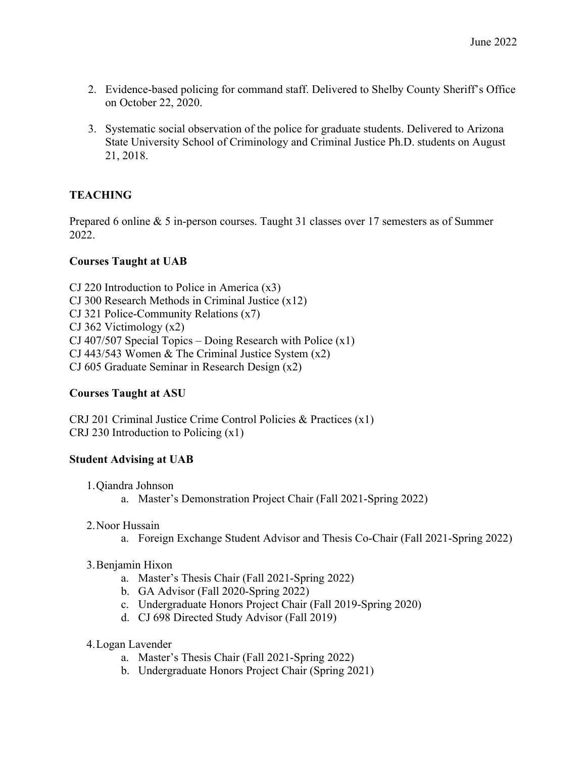- 2. Evidence-based policing for command staff. Delivered to Shelby County Sheriff's Office on October 22, 2020.
- 3. Systematic social observation of the police for graduate students. Delivered to Arizona State University School of Criminology and Criminal Justice Ph.D. students on August 21, 2018.

# **TEACHING**

Prepared 6 online & 5 in-person courses. Taught 31 classes over 17 semesters as of Summer 2022.

# **Courses Taught at UAB**

CJ 220 Introduction to Police in America (x3) CJ 300 Research Methods in Criminal Justice (x12) CJ 321 Police-Community Relations (x7) CJ 362 Victimology (x2) CJ 407/507 Special Topics – Doing Research with Police  $(x1)$ CJ 443/543 Women & The Criminal Justice System (x2) CJ 605 Graduate Seminar in Research Design (x2)

# **Courses Taught at ASU**

CRJ 201 Criminal Justice Crime Control Policies & Practices (x1) CRJ 230 Introduction to Policing (x1)

#### **Student Advising at UAB**

- 1.Qiandra Johnson
	- a. Master's Demonstration Project Chair (Fall 2021-Spring 2022)
- 2.Noor Hussain
	- a. Foreign Exchange Student Advisor and Thesis Co-Chair (Fall 2021-Spring 2022)
- 3.Benjamin Hixon
	- a. Master's Thesis Chair (Fall 2021-Spring 2022)
	- b. GA Advisor (Fall 2020-Spring 2022)
	- c. Undergraduate Honors Project Chair (Fall 2019-Spring 2020)
	- d. CJ 698 Directed Study Advisor (Fall 2019)
- 4.Logan Lavender
	- a. Master's Thesis Chair (Fall 2021-Spring 2022)
	- b. Undergraduate Honors Project Chair (Spring 2021)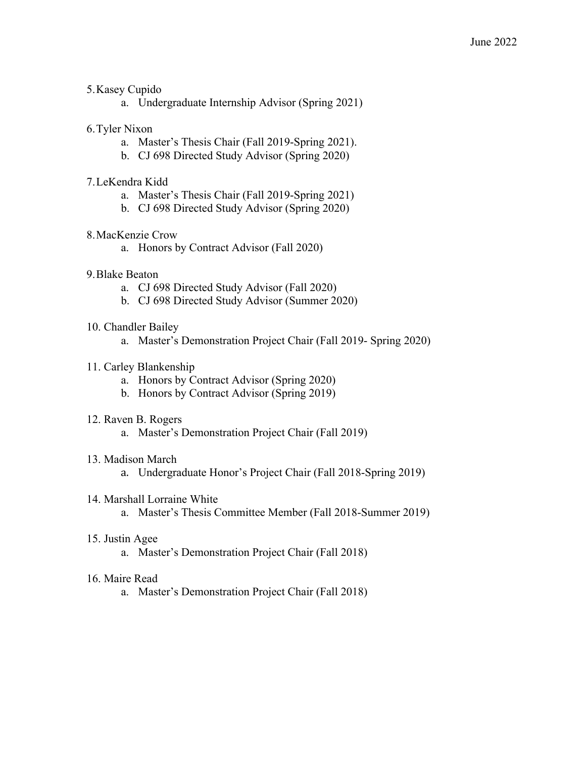## 5.Kasey Cupido

a. Undergraduate Internship Advisor (Spring 2021)

# 6.Tyler Nixon

- a. Master's Thesis Chair (Fall 2019-Spring 2021).
- b. CJ 698 Directed Study Advisor (Spring 2020)

## 7.LeKendra Kidd

- a. Master's Thesis Chair (Fall 2019-Spring 2021)
- b. CJ 698 Directed Study Advisor (Spring 2020)

# 8.MacKenzie Crow

a. Honors by Contract Advisor (Fall 2020)

# 9.Blake Beaton

- a. CJ 698 Directed Study Advisor (Fall 2020)
- b. CJ 698 Directed Study Advisor (Summer 2020)

#### 10. Chandler Bailey

a. Master's Demonstration Project Chair (Fall 2019- Spring 2020)

# 11. Carley Blankenship

- a. Honors by Contract Advisor (Spring 2020)
- b. Honors by Contract Advisor (Spring 2019)

#### 12. Raven B. Rogers

a. Master's Demonstration Project Chair (Fall 2019)

#### 13. Madison March

a. Undergraduate Honor's Project Chair (Fall 2018-Spring 2019)

#### 14. Marshall Lorraine White

a. Master's Thesis Committee Member (Fall 2018-Summer 2019)

#### 15. Justin Agee

a. Master's Demonstration Project Chair (Fall 2018)

#### 16. Maire Read

a. Master's Demonstration Project Chair (Fall 2018)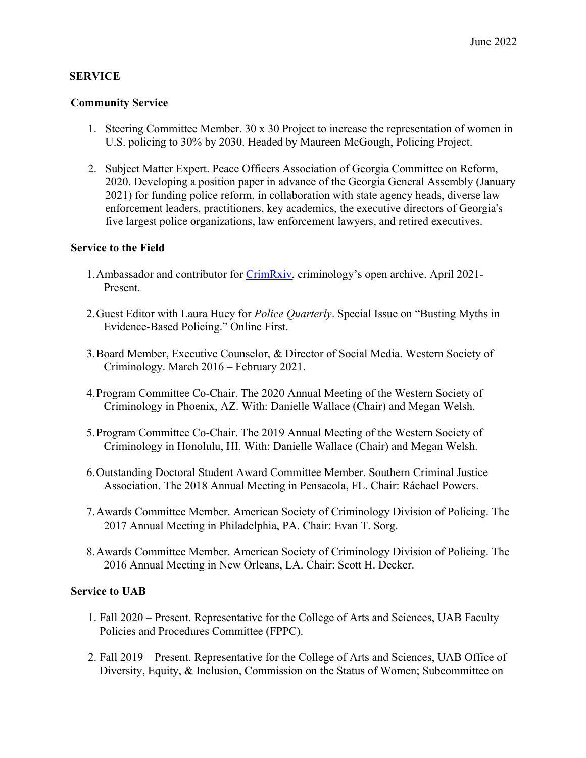# **SERVICE**

#### **Community Service**

- 1. Steering Committee Member. 30 x 30 Project to increase the representation of women in U.S. policing to 30% by 2030. Headed by Maureen McGough, Policing Project.
- 2. Subject Matter Expert. Peace Officers Association of Georgia Committee on Reform, 2020. Developing a position paper in advance of the Georgia General Assembly (January 2021) for funding police reform, in collaboration with state agency heads, diverse law enforcement leaders, practitioners, key academics, the executive directors of Georgia's five largest police organizations, law enforcement lawyers, and retired executives.

#### **Service to the Field**

- 1.Ambassador and contributor for CrimRxiv, criminology's open archive. April 2021- Present.
- 2.Guest Editor with Laura Huey for *Police Quarterly*. Special Issue on "Busting Myths in Evidence-Based Policing." Online First.
- 3.Board Member, Executive Counselor, & Director of Social Media. Western Society of Criminology. March 2016 – February 2021.
- 4.Program Committee Co-Chair. The 2020 Annual Meeting of the Western Society of Criminology in Phoenix, AZ. With: Danielle Wallace (Chair) and Megan Welsh.
- 5.Program Committee Co-Chair. The 2019 Annual Meeting of the Western Society of Criminology in Honolulu, HI. With: Danielle Wallace (Chair) and Megan Welsh.
- 6.Outstanding Doctoral Student Award Committee Member. Southern Criminal Justice Association. The 2018 Annual Meeting in Pensacola, FL. Chair: Ráchael Powers.
- 7.Awards Committee Member. American Society of Criminology Division of Policing. The 2017 Annual Meeting in Philadelphia, PA. Chair: Evan T. Sorg.
- 8.Awards Committee Member. American Society of Criminology Division of Policing. The 2016 Annual Meeting in New Orleans, LA. Chair: Scott H. Decker.

#### **Service to UAB**

- 1. Fall 2020 Present. Representative for the College of Arts and Sciences, UAB Faculty Policies and Procedures Committee (FPPC).
- 2. Fall 2019 Present. Representative for the College of Arts and Sciences, UAB Office of Diversity, Equity, & Inclusion, Commission on the Status of Women; Subcommittee on